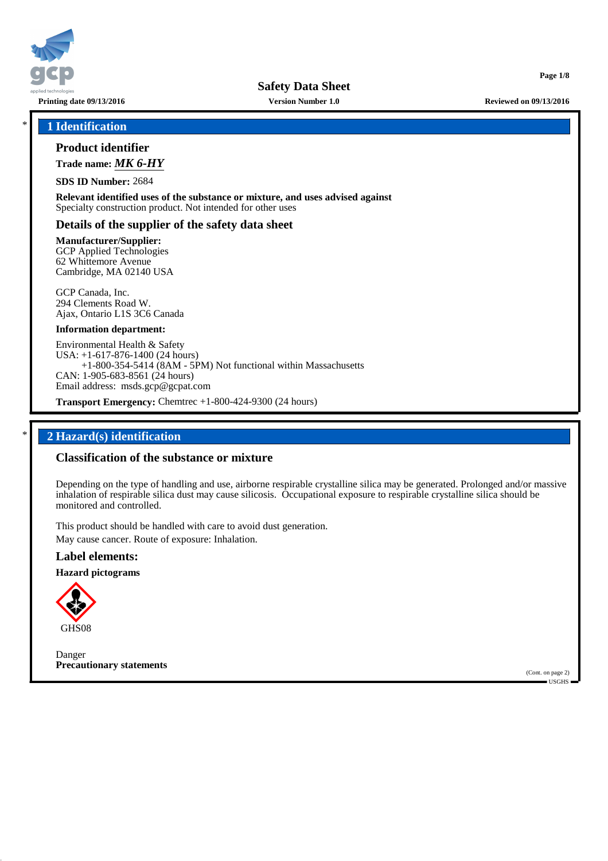

\* **1 Identification**

## **Product identifier**

**Trade name:** *MK 6-HY*

**SDS ID Number:** 2684

**Relevant identified uses of the substance or mixture, and uses advised against** Specialty construction product. Not intended for other uses

## **Details of the supplier of the safety data sheet**

**Manufacturer/Supplier:** GCP Applied Technologies 62 Whittemore Avenue Cambridge, MA 02140 USA

GCP Canada, Inc. 294 Clements Road W. Ajax, Ontario L1S 3C6 Canada

#### **Information department:**

Environmental Health & Safety USA: +1-617-876-1400 (24 hours) +1-800-354-5414 (8AM - 5PM) Not functional within Massachusetts CAN: 1-905-683-8561 (24 hours) Email address: msds.gcp@gcpat.com

**Transport Emergency:** Chemtrec +1-800-424-9300 (24 hours)

## \* **2 Hazard(s) identification**

## **Classification of the substance or mixture**

Depending on the type of handling and use, airborne respirable crystalline silica may be generated. Prolonged and/or massive inhalation of respirable silica dust may cause silicosis. Occupational exposure to respirable crystalline silica should be monitored and controlled.

This product should be handled with care to avoid dust generation. May cause cancer. Route of exposure: Inhalation.

## **Label elements:**

**Hazard pictograms**



Danger **Precautionary statements**

(Cont. on page 2) USGHS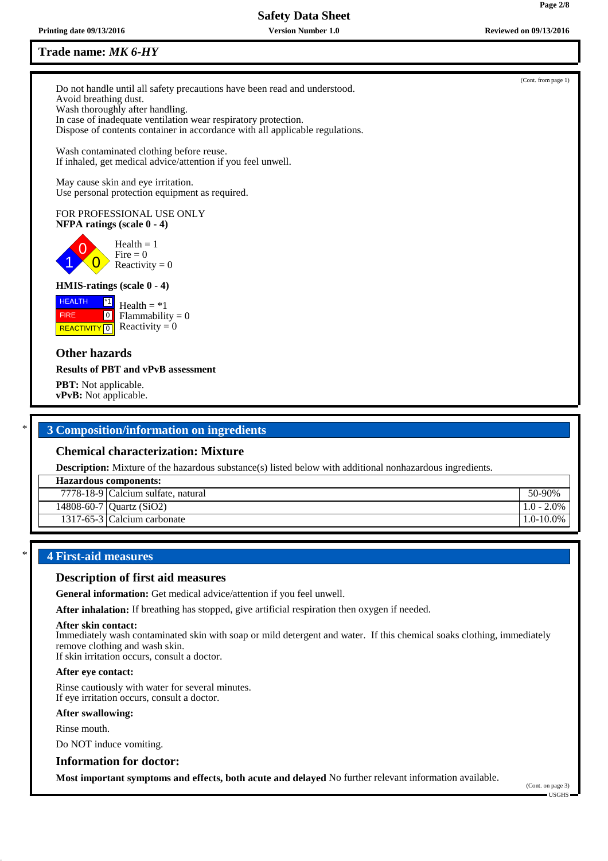## **Trade name:** *MK 6-HY*

Do not handle until all safety precautions have been read and understood. Avoid breathing dust. Wash thoroughly after handling. In case of inadequate ventilation wear respiratory protection. Dispose of contents container in accordance with all applicable regulations.

Wash contaminated clothing before reuse. If inhaled, get medical advice/attention if you feel unwell.

May cause skin and eye irritation. Use personal protection equipment as required.

#### FOR PROFESSIONAL USE ONLY **NFPA ratings (scale 0 - 4)**

0  $\overline{0}$  $Health = 1$ Fire  $= 0$ Reactivity  $= 0$ 

## **HMIS-ratings (scale 0 - 4)**

**HEALTH**  FIRE **REACTIVITY** 0 \*1  $\boxed{0}$ Health  $= *1$ Flammability  $= 0$ Reactivity  $= 0$ 

## **Other hazards**

1

#### **Results of PBT and vPvB assessment**

**PBT:** Not applicable. **vPvB:** Not applicable.

## \* **3 Composition/information on ingredients**

## **Chemical characterization: Mixture**

**Description:** Mixture of the hazardous substance(s) listed below with additional nonhazardous ingredients.

| <b>Hazardous components:</b> |                                                  |                                     |
|------------------------------|--------------------------------------------------|-------------------------------------|
|                              | $\overline{7778}$ -18-9 Calcium sulfate, natural | 50-90%                              |
|                              | 14808-60-7   Quartz $(SiO2)$                     | 1.0 - 2.0%                          |
|                              | 1317-65-3 Calcium carbonate                      | $\frac{1.0 - 10.0\%}{1.0 - 10.0\%}$ |
|                              |                                                  |                                     |

## \* **4 First-aid measures**

## **Description of first aid measures**

**General information:** Get medical advice/attention if you feel unwell.

**After inhalation:** If breathing has stopped, give artificial respiration then oxygen if needed.

#### **After skin contact:**

Immediately wash contaminated skin with soap or mild detergent and water. If this chemical soaks clothing, immediately remove clothing and wash skin.

If skin irritation occurs, consult a doctor.

#### **After eye contact:**

Rinse cautiously with water for several minutes. If eye irritation occurs, consult a doctor.

#### **After swallowing:**

Rinse mouth.

Do NOT induce vomiting.

**Information for doctor:**

**Most important symptoms and effects, both acute and delayed** No further relevant information available.



(Cont. from page 1)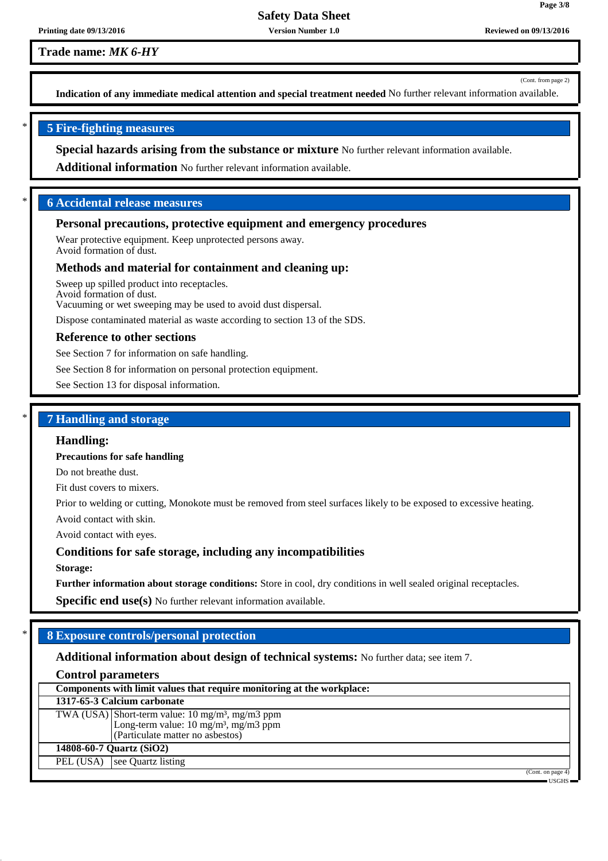**Trade name:** *MK 6-HY*

(Cont. from page 2)

**Page 3/8**

**Indication of any immediate medical attention and special treatment needed** No further relevant information available.

## \* **5 Fire-fighting measures**

**Special hazards arising from the substance or mixture** No further relevant information available.

**Additional information** No further relevant information available.

## \* **6 Accidental release measures**

#### **Personal precautions, protective equipment and emergency procedures**

Wear protective equipment. Keep unprotected persons away. Avoid formation of dust.

#### **Methods and material for containment and cleaning up:**

Sweep up spilled product into receptacles. Avoid formation of dust.

Vacuuming or wet sweeping may be used to avoid dust dispersal.

Dispose contaminated material as waste according to section 13 of the SDS.

#### **Reference to other sections**

See Section 7 for information on safe handling.

See Section 8 for information on personal protection equipment.

See Section 13 for disposal information.

### \* **7 Handling and storage**

#### **Handling:**

**Precautions for safe handling**

Do not breathe dust.

Fit dust covers to mixers.

Prior to welding or cutting, Monokote must be removed from steel surfaces likely to be exposed to excessive heating.

Avoid contact with skin.

Avoid contact with eyes.

#### **Conditions for safe storage, including any incompatibilities**

**Storage:**

**Further information about storage conditions:** Store in cool, dry conditions in well sealed original receptacles.

**Specific end use(s)** No further relevant information available.

## \* **8 Exposure controls/personal protection**

### **Additional information about design of technical systems:** No further data; see item 7.

#### **Control parameters**

|                          | Components with limit values that require monitoring at the workplace:                                          |  |
|--------------------------|-----------------------------------------------------------------------------------------------------------------|--|
|                          | 1317-65-3 Calcium carbonate                                                                                     |  |
|                          | TWA (USA) Short-term value: $10 \text{ mg/m}^3$ , mg/m3 ppm<br>Long-term value: $10 \text{ mg/m}^3$ , mg/m3 ppm |  |
|                          |                                                                                                                 |  |
|                          | (Particulate matter no asbestos)                                                                                |  |
| 14808-60-7 Quartz (SiO2) |                                                                                                                 |  |
| PEL (USA)                | see Ouartz listing                                                                                              |  |
|                          | (Cont. on page 4)                                                                                               |  |
|                          | $USGHS$ $-$                                                                                                     |  |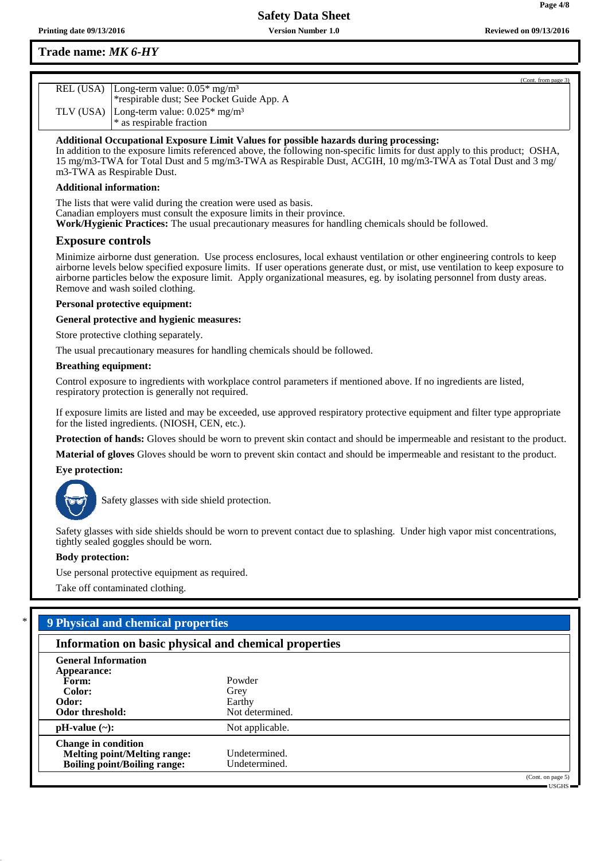**Page 4/8**

## **Trade name:** *MK 6-HY*

| (Cont. from page 3)                                    |  |
|--------------------------------------------------------|--|
| REL (USA)   Long-term value: $0.05*$ mg/m <sup>3</sup> |  |
| *respirable dust; See Pocket Guide App. A              |  |
| TLV (USA) Long-term value: $0.025*$ mg/m <sup>3</sup>  |  |
| * as respirable fraction                               |  |

**Additional Occupational Exposure Limit Values for possible hazards during processing:**

In addition to the exposure limits referenced above, the following non-specific limits for dust apply to this product; OSHA, 15 mg/m3-TWA for Total Dust and 5 mg/m3-TWA as Respirable Dust, ACGIH, 10 mg/m3-TWA as Total Dust and 3 mg/ m3-TWA as Respirable Dust.

#### **Additional information:**

The lists that were valid during the creation were used as basis. Canadian employers must consult the exposure limits in their province. **Work/Hygienic Practices:** The usual precautionary measures for handling chemicals should be followed.

### **Exposure controls**

Minimize airborne dust generation. Use process enclosures, local exhaust ventilation or other engineering controls to keep airborne levels below specified exposure limits. If user operations generate dust, or mist, use ventilation to keep exposure to airborne particles below the exposure limit. Apply organizational measures, eg. by isolating personnel from dusty areas. Remove and wash soiled clothing.

#### **Personal protective equipment:**

**General protective and hygienic measures:**

Store protective clothing separately.

The usual precautionary measures for handling chemicals should be followed.

#### **Breathing equipment:**

Control exposure to ingredients with workplace control parameters if mentioned above. If no ingredients are listed, respiratory protection is generally not required.

If exposure limits are listed and may be exceeded, use approved respiratory protective equipment and filter type appropriate for the listed ingredients. (NIOSH, CEN, etc.).

**Protection of hands:** Gloves should be worn to prevent skin contact and should be impermeable and resistant to the product.

**Material of gloves** Gloves should be worn to prevent skin contact and should be impermeable and resistant to the product.

#### **Eye protection:**



Safety glasses with side shield protection.

Safety glasses with side shields should be worn to prevent contact due to splashing. Under high vapor mist concentrations, tightly sealed goggles should be worn.

#### **Body protection:**

Use personal protective equipment as required.

Take off contaminated clothing.

## \* **9 Physical and chemical properties**

| a shekara ta 1972                                                                                        |                                             |  |
|----------------------------------------------------------------------------------------------------------|---------------------------------------------|--|
| Information on basic physical and chemical properties                                                    |                                             |  |
| <b>General Information</b><br>Appearance:<br>Form:<br>Color:<br>Odor:<br>Odor threshold:                 | Powder<br>Grey<br>Earthy<br>Not determined. |  |
| $pH-value (\sim):$                                                                                       | Not applicable.                             |  |
| <b>Change in condition</b><br><b>Melting point/Melting range:</b><br><b>Boiling point/Boiling range:</b> | Undetermined.<br>Undetermined.              |  |
|                                                                                                          |                                             |  |

(Cont. on page 5) USGHS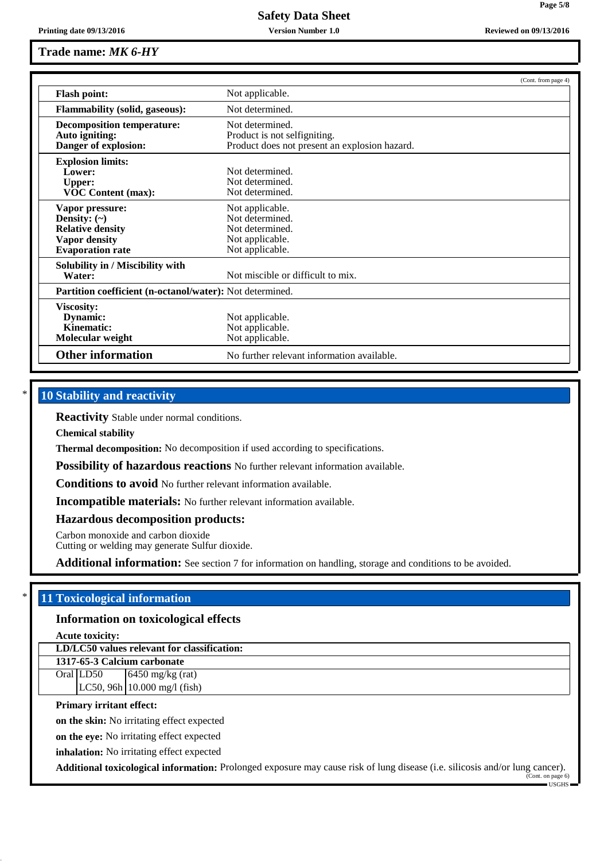| Printing date 09/13/2016 | <b>Version Number 1.0</b> | <b>Reviewed on 09/13/2016</b> |
|--------------------------|---------------------------|-------------------------------|
|--------------------------|---------------------------|-------------------------------|

|                                                                                                                    |                                                                                                  | (Cont. from page 4) |
|--------------------------------------------------------------------------------------------------------------------|--------------------------------------------------------------------------------------------------|---------------------|
| <b>Flash point:</b>                                                                                                | Not applicable.                                                                                  |                     |
| <b>Flammability (solid, gaseous):</b>                                                                              | Not determined.                                                                                  |                     |
| <b>Decomposition temperature:</b><br>Auto igniting:<br>Danger of explosion:                                        | Not determined.<br>Product is not selfigniting.<br>Product does not present an explosion hazard. |                     |
| <b>Explosion limits:</b><br>Lower:<br><b>Upper:</b><br><b>VOC Content (max):</b>                                   | Not determined.<br>Not determined.<br>Not determined.                                            |                     |
| Vapor pressure:<br>Density: $(\sim)$<br><b>Relative density</b><br><b>Vapor density</b><br><b>Evaporation rate</b> | Not applicable.<br>Not determined.<br>Not determined.<br>Not applicable.<br>Not applicable.      |                     |
| Solubility in / Miscibility with<br>Water:                                                                         | Not miscible or difficult to mix.                                                                |                     |
| Partition coefficient (n-octanol/water): Not determined.                                                           |                                                                                                  |                     |
| Viscosity:<br>Dynamic:<br>Kinematic:<br>Molecular weight                                                           | Not applicable.<br>Not applicable.<br>Not applicable.                                            |                     |
| <b>Other information</b>                                                                                           | No further relevant information available.                                                       |                     |

## **10 Stability and reactivity**

**Reactivity** Stable under normal conditions.

**Chemical stability**

**Thermal decomposition:** No decomposition if used according to specifications.

**Possibility of hazardous reactions** No further relevant information available.

**Conditions to avoid** No further relevant information available.

**Incompatible materials:** No further relevant information available.

**Hazardous decomposition products:**

Carbon monoxide and carbon dioxide

Cutting or welding may generate Sulfur dioxide.

**Additional information:** See section 7 for information on handling, storage and conditions to be avoided.

## \* **11 Toxicological information**

#### **Information on toxicological effects**

**Acute toxicity:**

#### **LD/LC50 values relevant for classification:**

**1317-65-3 Calcium carbonate** Oral LD50  $\qquad$  6450 mg/kg (rat) LC50, 96h 10.000 mg/l (fish)

#### **Primary irritant effect:**

**on the skin:** No irritating effect expected

**on the eye:** No irritating effect expected

**inhalation:** No irritating effect expected

**Additional toxicological information:** Prolonged exposure may cause risk of lung disease (i.e. silicosis and/or lung cancer).

(Cont. on page 6) USGHS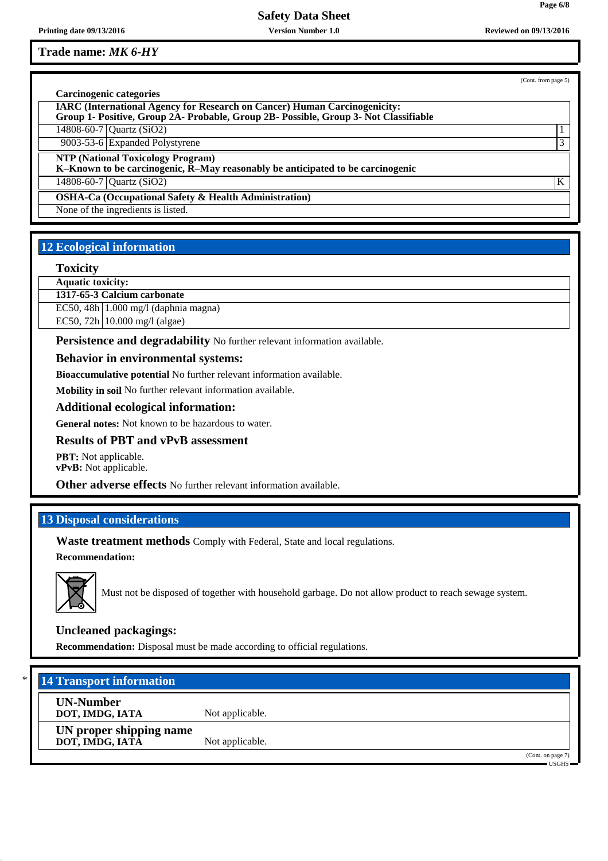**Trade name:** *MK 6-HY*

(Cont. from page 5)

**Page 6/8**

| Carcinogenic categories                                                                                                                                                  |   |
|--------------------------------------------------------------------------------------------------------------------------------------------------------------------------|---|
| <b>IARC (International Agency for Research on Cancer) Human Carcinogenicity:</b><br>Group 1- Positive, Group 2A- Probable, Group 2B- Possible, Group 3- Not Classifiable |   |
| 14808-60-7 Quartz (SiO2)                                                                                                                                                 |   |
| 9003-53-6 Expanded Polystyrene                                                                                                                                           | 3 |
| <b>NTP (National Toxicology Program)</b><br>K-Known to be carcinogenic, R-May reasonably be anticipated to be carcinogenic                                               |   |
| 14808-60-7 Quartz $(SiO2)$                                                                                                                                               | K |
| <b>OSHA-Ca (Occupational Safety &amp; Health Administration)</b>                                                                                                         |   |
| None of the ingredients is listed.                                                                                                                                       |   |

# **12 Ecological information**

#### **Toxicity**

**Aquatic toxicity:**

**1317-65-3 Calcium carbonate**

EC50, 48h 1.000 mg/l (daphnia magna)

EC50, 72h 10.000 mg/l (algae)

**Persistence and degradability** No further relevant information available.

#### **Behavior in environmental systems:**

**Bioaccumulative potential** No further relevant information available.

**Mobility in soil** No further relevant information available.

**Additional ecological information:**

**General notes:** Not known to be hazardous to water.

#### **Results of PBT and vPvB assessment**

**PBT:** Not applicable. **vPvB:** Not applicable.

**Other adverse effects** No further relevant information available.

## **13 Disposal considerations**

**Waste treatment methods** Comply with Federal, State and local regulations.

**Recommendation:**



Must not be disposed of together with household garbage. Do not allow product to reach sewage system.

## **Uncleaned packagings:**

**Recommendation:** Disposal must be made according to official regulations.

## **14 Transport information**

**UN-Number DOT, IMDG, IATA** Not applicable.

**UN proper shipping name DOT, IMDG, IATA** Not applicable.

> (Cont. on page 7) USGHS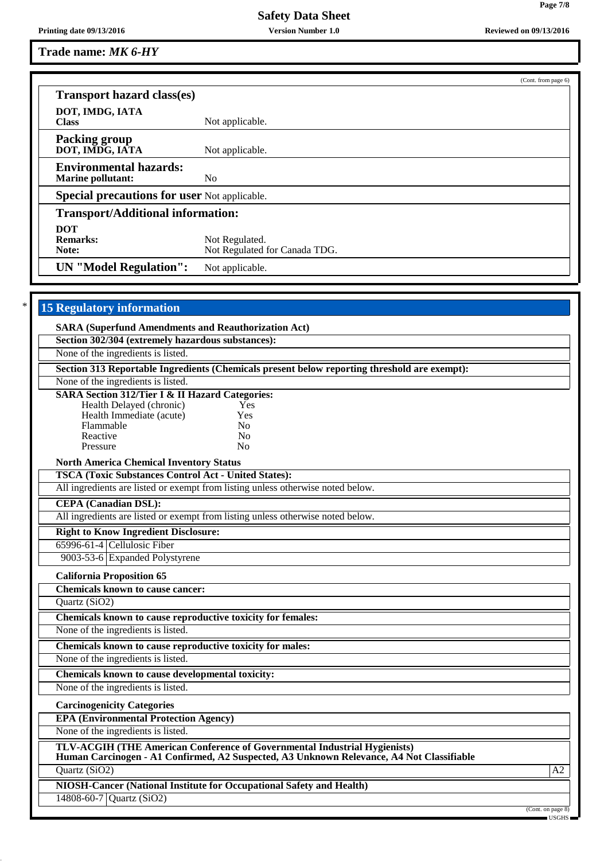**Page 7/8**

**Trade name:** *MK 6-HY*

| Not applicable.                                     |  |
|-----------------------------------------------------|--|
| Not applicable.                                     |  |
| N <sub>0</sub>                                      |  |
| <b>Special precautions for user Not applicable.</b> |  |
| <b>Transport/Additional information:</b>            |  |
|                                                     |  |
| Not Regulated.                                      |  |
| Not Regulated for Canada TDG.                       |  |
| <b>UN</b> "Model Regulation":<br>Not applicable.    |  |
|                                                     |  |

| <b>15 Regulatory information</b>                                                                                                                                                                                            |                   |
|-----------------------------------------------------------------------------------------------------------------------------------------------------------------------------------------------------------------------------|-------------------|
| <b>SARA (Superfund Amendments and Reauthorization Act)</b>                                                                                                                                                                  |                   |
| Section 302/304 (extremely hazardous substances):                                                                                                                                                                           |                   |
| None of the ingredients is listed.                                                                                                                                                                                          |                   |
| Section 313 Reportable Ingredients (Chemicals present below reporting threshold are exempt):                                                                                                                                |                   |
| None of the ingredients is listed.                                                                                                                                                                                          |                   |
| <b>SARA Section 312/Tier I &amp; II Hazard Categories:</b><br>Health Delayed (chronic)<br>Yes<br>Health Immediate (acute)<br>Yes<br>Flammable<br>N <sub>0</sub><br>Reactive<br>N <sub>0</sub><br>Pressure<br>N <sub>0</sub> |                   |
| <b>North America Chemical Inventory Status</b>                                                                                                                                                                              |                   |
| <b>TSCA (Toxic Substances Control Act - United States):</b>                                                                                                                                                                 |                   |
| All ingredients are listed or exempt from listing unless otherwise noted below.                                                                                                                                             |                   |
| <b>CEPA</b> (Canadian DSL):                                                                                                                                                                                                 |                   |
| All ingredients are listed or exempt from listing unless otherwise noted below.                                                                                                                                             |                   |
| <b>Right to Know Ingredient Disclosure:</b>                                                                                                                                                                                 |                   |
| 65996-61-4 Cellulosic Fiber                                                                                                                                                                                                 |                   |
| 9003-53-6 Expanded Polystyrene                                                                                                                                                                                              |                   |
| <b>California Proposition 65</b>                                                                                                                                                                                            |                   |
| <b>Chemicals known to cause cancer:</b>                                                                                                                                                                                     |                   |
| Quartz (SiO2)                                                                                                                                                                                                               |                   |
| Chemicals known to cause reproductive toxicity for females:                                                                                                                                                                 |                   |
| None of the ingredients is listed.                                                                                                                                                                                          |                   |
| Chemicals known to cause reproductive toxicity for males:                                                                                                                                                                   |                   |
| None of the ingredients is listed.                                                                                                                                                                                          |                   |
| Chemicals known to cause developmental toxicity:                                                                                                                                                                            |                   |
| None of the ingredients is listed.                                                                                                                                                                                          |                   |
| <b>Carcinogenicity Categories</b>                                                                                                                                                                                           |                   |
| <b>EPA (Environmental Protection Agency)</b>                                                                                                                                                                                |                   |
| None of the ingredients is listed.                                                                                                                                                                                          |                   |
| TLV-ACGIH (THE American Conference of Governmental Industrial Hygienists)<br>Human Carcinogen - A1 Confirmed, A2 Suspected, A3 Unknown Relevance, A4 Not Classifiable                                                       |                   |
| Quartz (SiO2)                                                                                                                                                                                                               | $\overline{A2}$   |
| NIOSH-Cancer (National Institute for Occupational Safety and Health)                                                                                                                                                        |                   |
| 14808-60-7 Quartz (SiO2)                                                                                                                                                                                                    |                   |
|                                                                                                                                                                                                                             | (Cont. on page 8) |